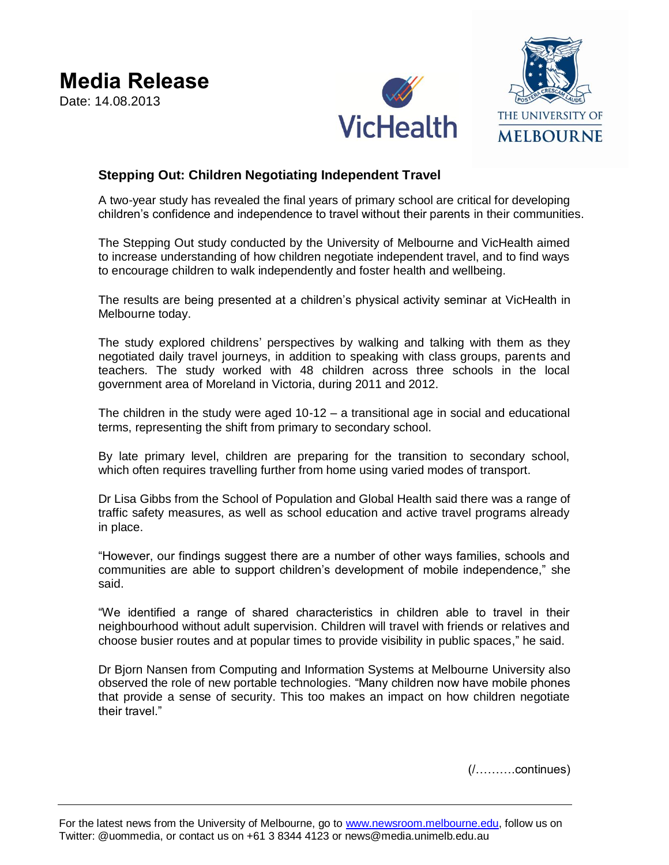



## **Stepping Out: Children Negotiating Independent Travel**

A two-year study has revealed the final years of primary school are critical for developing children's confidence and independence to travel without their parents in their communities.

The Stepping Out study conducted by the University of Melbourne and VicHealth aimed to increase understanding of how children negotiate independent travel, and to find ways to encourage children to walk independently and foster health and wellbeing.

The results are being presented at a children's physical activity seminar at VicHealth in Melbourne today.

The study explored childrens' perspectives by walking and talking with them as they negotiated daily travel journeys, in addition to speaking with class groups, parents and teachers. The study worked with 48 children across three schools in the local government area of Moreland in Victoria, during 2011 and 2012.

The children in the study were aged 10-12 – a transitional age in social and educational terms, representing the shift from primary to secondary school.

By late primary level, children are preparing for the transition to secondary school, which often requires travelling further from home using varied modes of transport.

Dr Lisa Gibbs from the School of Population and Global Health said there was a range of traffic safety measures, as well as school education and active travel programs already in place.

"However, our findings suggest there are a number of other ways families, schools and communities are able to support children's development of mobile independence," she said.

"We identified a range of shared characteristics in children able to travel in their neighbourhood without adult supervision. Children will travel with friends or relatives and choose busier routes and at popular times to provide visibility in public spaces," he said.

Dr Bjorn Nansen from [Computing and Information Systems](http://www.findanexpert.unimelb.edu.au/individual/org4257) at Melbourne University also observed the role of new portable technologies. "Many children now have mobile phones that provide a sense of security. This too makes an impact on how children negotiate their travel."

(/……….continues)